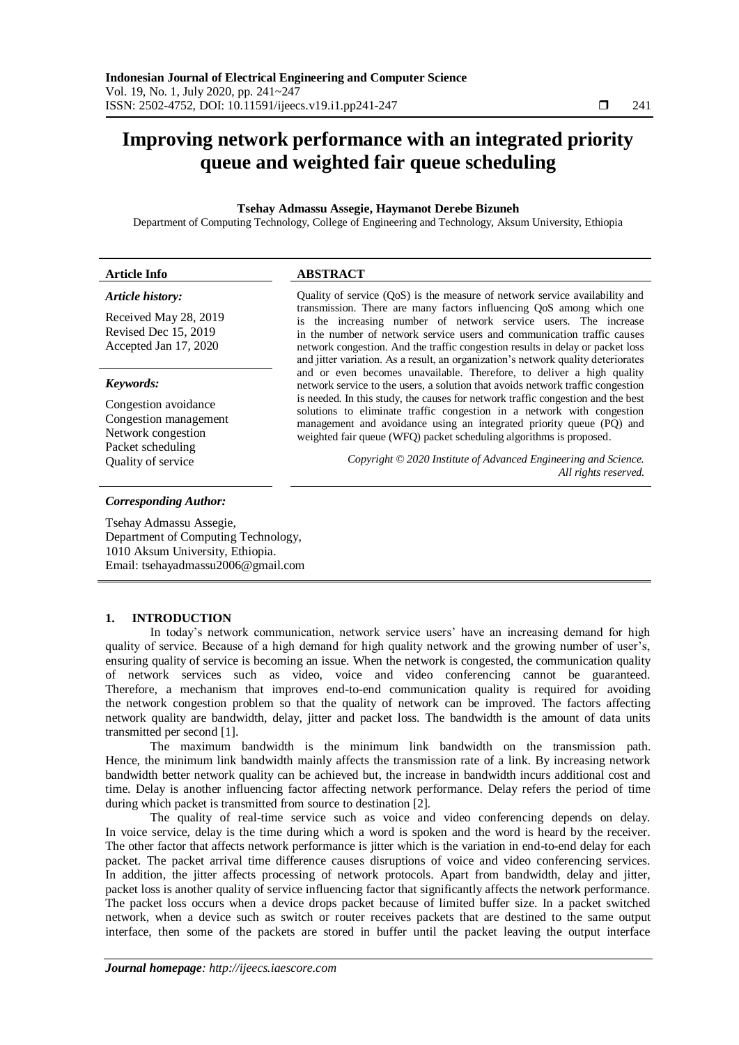# **Improving network performance with an integrated priority queue and weighted fair queue scheduling**

## **Tsehay Admassu Assegie, Haymanot Derebe Bizuneh**

Department of Computing Technology, College of Engineering and Technology, Aksum University, Ethiopia

| <b>Article Info</b>                                                                                            | <b>ABSTRACT</b>                                                                                                                                                                                                                                                                                                                                                                                      |
|----------------------------------------------------------------------------------------------------------------|------------------------------------------------------------------------------------------------------------------------------------------------------------------------------------------------------------------------------------------------------------------------------------------------------------------------------------------------------------------------------------------------------|
| Article history:                                                                                               | Quality of service (QoS) is the measure of network service availability and                                                                                                                                                                                                                                                                                                                          |
| Received May 28, 2019<br>Revised Dec 15, 2019<br>Accepted Jan 17, 2020                                         | transmission. There are many factors influencing QoS among which one<br>is the increasing number of network service users. The increase<br>in the number of network service users and communication traffic causes<br>network congestion. And the traffic congestion results in delay or packet loss<br>and jitter variation. As a result, an organization's network quality deteriorates            |
| Keywords:                                                                                                      | and or even becomes unavailable. Therefore, to deliver a high quality<br>network service to the users, a solution that avoids network traffic congestion                                                                                                                                                                                                                                             |
| Congestion avoidance<br>Congestion management<br>Network congestion<br>Packet scheduling<br>Quality of service | is needed. In this study, the causes for network traffic congestion and the best<br>solutions to eliminate traffic congestion in a network with congestion<br>management and avoidance using an integrated priority queue (PQ) and<br>weighted fair queue (WFQ) packet scheduling algorithms is proposed.<br>Copyright © 2020 Institute of Advanced Engineering and Science.<br>All rights reserved. |

#### *Corresponding Author:*

Tsehay Admassu Assegie, Department of Computing Technology, 1010 Aksum University, Ethiopia. Email: tsehayadmassu2006@gmail.com

## **1. INTRODUCTION**

In today's network communication, network service users' have an increasing demand for high quality of service. Because of a high demand for high quality network and the growing number of user's, ensuring quality of service is becoming an issue. When the network is congested, the communication quality of network services such as video, voice and video conferencing cannot be guaranteed. Therefore, a mechanism that improves end-to-end communication quality is required for avoiding the network congestion problem so that the quality of network can be improved. The factors affecting network quality are bandwidth, delay, jitter and packet loss. The bandwidth is the amount of data units transmitted per second [1].

The maximum bandwidth is the minimum link bandwidth on the transmission path. Hence, the minimum link bandwidth mainly affects the transmission rate of a link. By increasing network bandwidth better network quality can be achieved but, the increase in bandwidth incurs additional cost and time. Delay is another influencing factor affecting network performance. Delay refers the period of time during which packet is transmitted from source to destination [2].

The quality of real-time service such as voice and video conferencing depends on delay. In voice service, delay is the time during which a word is spoken and the word is heard by the receiver. The other factor that affects network performance is jitter which is the variation in end-to-end delay for each packet. The packet arrival time difference causes disruptions of voice and video conferencing services. In addition, the jitter affects processing of network protocols. Apart from bandwidth, delay and jitter, packet loss is another quality of service influencing factor that significantly affects the network performance. The packet loss occurs when a device drops packet because of limited buffer size. In a packet switched network, when a device such as switch or router receives packets that are destined to the same output interface, then some of the packets are stored in buffer until the packet leaving the output interface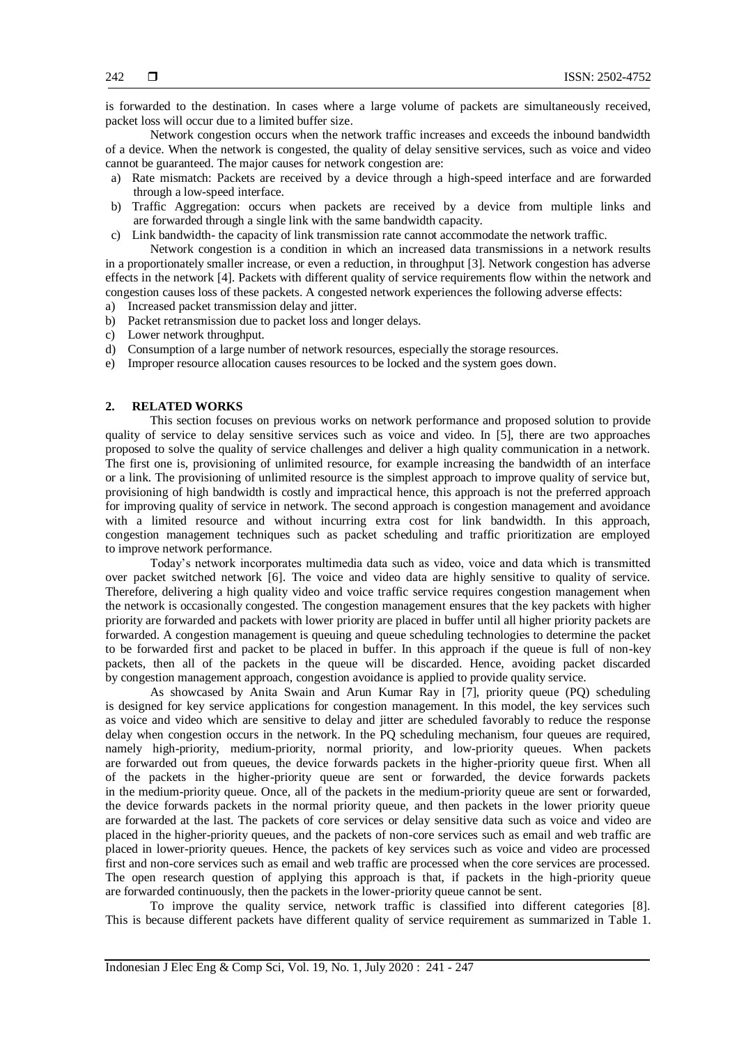is forwarded to the destination. In cases where a large volume of packets are simultaneously received, packet loss will occur due to a limited buffer size.

Network congestion occurs when the network traffic increases and exceeds the inbound bandwidth of a device. When the network is congested, the quality of delay sensitive services, such as voice and video cannot be guaranteed. The major causes for network congestion are:

- a) Rate mismatch: Packets are received by a device through a high-speed interface and are forwarded through a low-speed interface.
- b) Traffic Aggregation: occurs when packets are received by a device from multiple links and are forwarded through a single link with the same bandwidth capacity.
- c) Link bandwidth- the capacity of link transmission rate cannot accommodate the network traffic.

Network congestion is a condition in which an increased data transmissions in a network results in a proportionately smaller increase, or even a reduction, in throughput [3]. Network congestion has adverse effects in the network [4]. Packets with different quality of service requirements flow within the network and congestion causes loss of these packets. A congested network experiences the following adverse effects:

- a) Increased packet transmission delay and jitter.
- b) Packet retransmission due to packet loss and longer delays.
- c) Lower network throughput.
- d) Consumption of a large number of network resources, especially the storage resources.
- e) Improper resource allocation causes resources to be locked and the system goes down.

## **2. RELATED WORKS**

This section focuses on previous works on network performance and proposed solution to provide quality of service to delay sensitive services such as voice and video. In [5], there are two approaches proposed to solve the quality of service challenges and deliver a high quality communication in a network. The first one is, provisioning of unlimited resource, for example increasing the bandwidth of an interface or a link. The provisioning of unlimited resource is the simplest approach to improve quality of service but, provisioning of high bandwidth is costly and impractical hence, this approach is not the preferred approach for improving quality of service in network. The second approach is congestion management and avoidance with a limited resource and without incurring extra cost for link bandwidth. In this approach, congestion management techniques such as packet scheduling and traffic prioritization are employed to improve network performance.

Today's network incorporates multimedia data such as video, voice and data which is transmitted over packet switched network [6]. The voice and video data are highly sensitive to quality of service. Therefore, delivering a high quality video and voice traffic service requires congestion management when the network is occasionally congested. The congestion management ensures that the key packets with higher priority are forwarded and packets with lower priority are placed in buffer until all higher priority packets are forwarded. A congestion management is queuing and queue scheduling technologies to determine the packet to be forwarded first and packet to be placed in buffer. In this approach if the queue is full of non-key packets, then all of the packets in the queue will be discarded. Hence, avoiding packet discarded by congestion management approach, congestion avoidance is applied to provide quality service.

As showcased by Anita Swain and Arun Kumar Ray in [7], priority queue (PQ) scheduling is designed for key service applications for congestion management. In this model, the key services such as voice and video which are sensitive to delay and jitter are scheduled favorably to reduce the response delay when congestion occurs in the network. In the PQ scheduling mechanism, four queues are required, namely high-priority, medium-priority, normal priority, and low-priority queues. When packets are forwarded out from queues, the device forwards packets in the higher-priority queue first. When all of the packets in the higher-priority queue are sent or forwarded, the device forwards packets in the medium-priority queue. Once, all of the packets in the medium-priority queue are sent or forwarded, the device forwards packets in the normal priority queue, and then packets in the lower priority queue are forwarded at the last. The packets of core services or delay sensitive data such as voice and video are placed in the higher-priority queues, and the packets of non-core services such as email and web traffic are placed in lower-priority queues. Hence, the packets of key services such as voice and video are processed first and non-core services such as email and web traffic are processed when the core services are processed. The open research question of applying this approach is that, if packets in the high-priority queue are forwarded continuously, then the packets in the lower-priority queue cannot be sent.

To improve the quality service, network traffic is classified into different categories [8]. This is because different packets have different quality of service requirement as summarized in Table 1.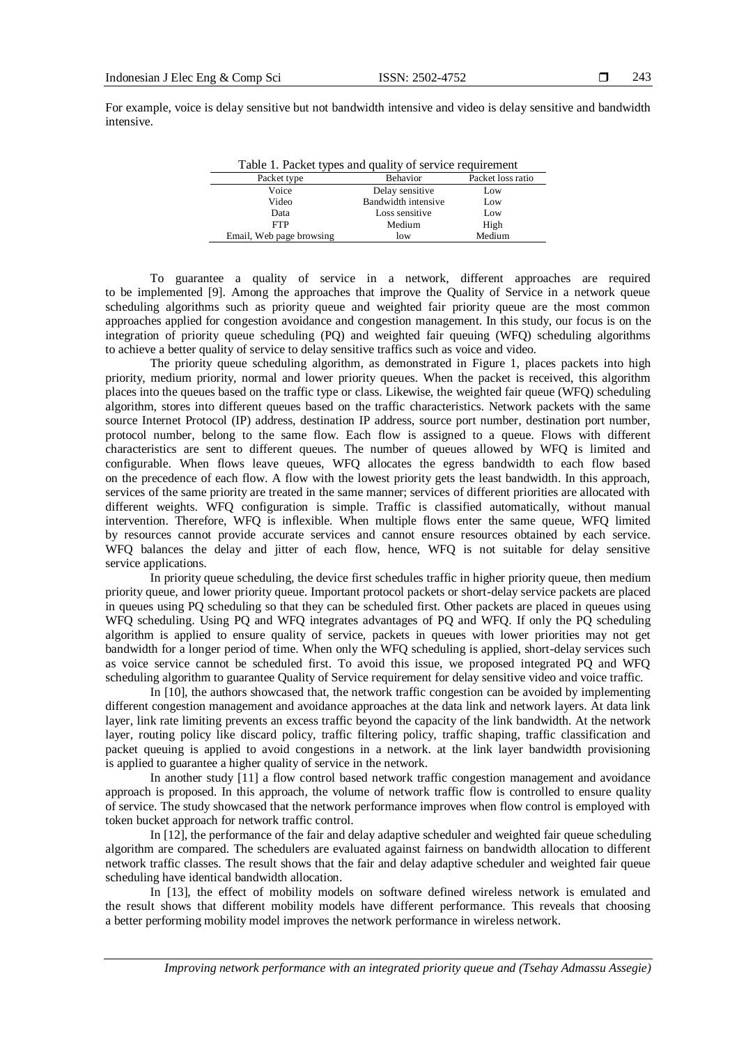For example, voice is delay sensitive but not bandwidth intensive and video is delay sensitive and bandwidth intensive.

| Table 1. Packet types and quality of service requirement |                     |                   |  |  |
|----------------------------------------------------------|---------------------|-------------------|--|--|
| Packet type                                              | Behavior            | Packet loss ratio |  |  |
| Voice                                                    | Delay sensitive     | Low               |  |  |
| Video                                                    | Bandwidth intensive | Low               |  |  |
| Data                                                     | Loss sensitive      | Low               |  |  |
| <b>FTP</b>                                               | Medium              | High              |  |  |
| Email, Web page browsing                                 | low                 | Medium            |  |  |

To guarantee a quality of service in a network, different approaches are required to be implemented [9]. Among the approaches that improve the Quality of Service in a network queue scheduling algorithms such as priority queue and weighted fair priority queue are the most common approaches applied for congestion avoidance and congestion management. In this study, our focus is on the integration of priority queue scheduling (PQ) and weighted fair queuing (WFQ) scheduling algorithms to achieve a better quality of service to delay sensitive traffics such as voice and video.

The priority queue scheduling algorithm, as demonstrated in Figure 1, places packets into high priority, medium priority, normal and lower priority queues. When the packet is received, this algorithm places into the queues based on the traffic type or class. Likewise, the weighted fair queue (WFQ) scheduling algorithm, stores into different queues based on the traffic characteristics. Network packets with the same source Internet Protocol (IP) address, destination IP address, source port number, destination port number, protocol number, belong to the same flow. Each flow is assigned to a queue. Flows with different characteristics are sent to different queues. The number of queues allowed by WFQ is limited and configurable. When flows leave queues, WFQ allocates the egress bandwidth to each flow based on the precedence of each flow. A flow with the lowest priority gets the least bandwidth. In this approach, services of the same priority are treated in the same manner; services of different priorities are allocated with different weights. WFQ configuration is simple. Traffic is classified automatically, without manual intervention. Therefore, WFQ is inflexible. When multiple flows enter the same queue, WFQ limited by resources cannot provide accurate services and cannot ensure resources obtained by each service. WFQ balances the delay and jitter of each flow, hence, WFQ is not suitable for delay sensitive service applications.

In priority queue scheduling, the device first schedules traffic in higher priority queue, then medium priority queue, and lower priority queue. Important protocol packets or short-delay service packets are placed in queues using PQ scheduling so that they can be scheduled first. Other packets are placed in queues using WFQ scheduling. Using PQ and WFQ integrates advantages of PQ and WFQ. If only the PQ scheduling algorithm is applied to ensure quality of service, packets in queues with lower priorities may not get bandwidth for a longer period of time. When only the WFQ scheduling is applied, short-delay services such as voice service cannot be scheduled first. To avoid this issue, we proposed integrated PQ and WFQ scheduling algorithm to guarantee Quality of Service requirement for delay sensitive video and voice traffic.

In [10], the authors showcased that, the network traffic congestion can be avoided by implementing different congestion management and avoidance approaches at the data link and network layers. At data link layer, link rate limiting prevents an excess traffic beyond the capacity of the link bandwidth. At the network layer, routing policy like discard policy, traffic filtering policy, traffic shaping, traffic classification and packet queuing is applied to avoid congestions in a network. at the link layer bandwidth provisioning is applied to guarantee a higher quality of service in the network.

In another study [11] a flow control based network traffic congestion management and avoidance approach is proposed. In this approach, the volume of network traffic flow is controlled to ensure quality of service. The study showcased that the network performance improves when flow control is employed with token bucket approach for network traffic control.

In [12], the performance of the fair and delay adaptive scheduler and weighted fair queue scheduling algorithm are compared. The schedulers are evaluated against fairness on bandwidth allocation to different network traffic classes. The result shows that the fair and delay adaptive scheduler and weighted fair queue scheduling have identical bandwidth allocation.

In [13], the effect of mobility models on software defined wireless network is emulated and the result shows that different mobility models have different performance. This reveals that choosing a better performing mobility model improves the network performance in wireless network.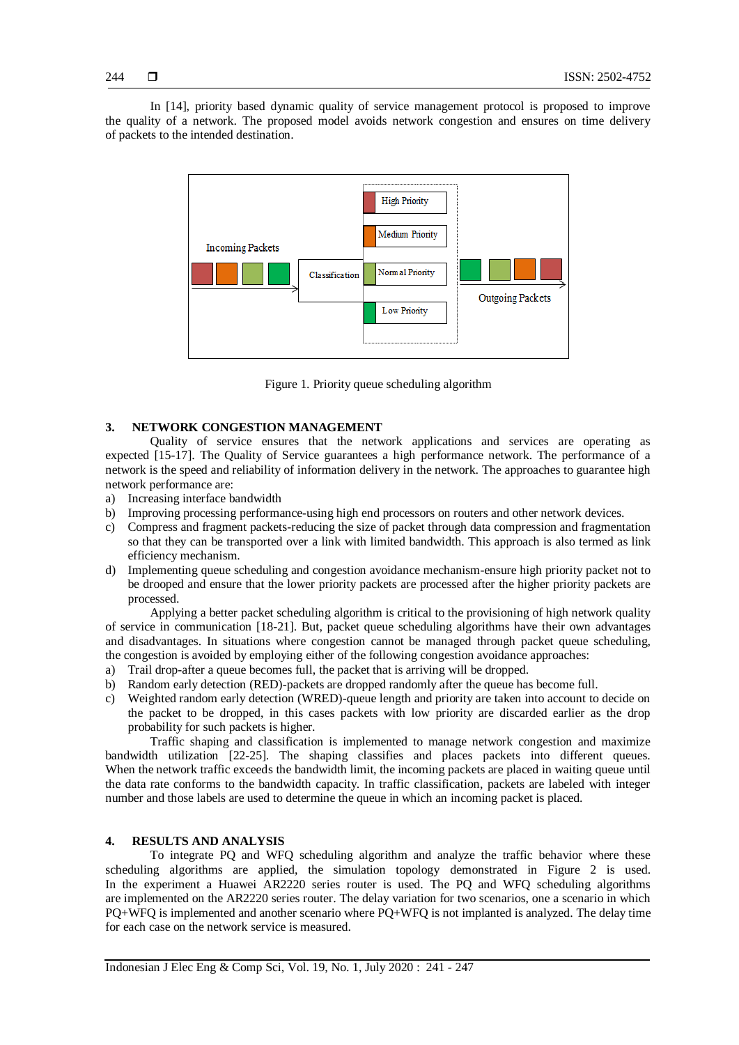In [14], priority based dynamic quality of service management protocol is proposed to improve the quality of a network. The proposed model avoids network congestion and ensures on time delivery of packets to the intended destination.



Figure 1. Priority queue scheduling algorithm

## **3. NETWORK CONGESTION MANAGEMENT**

Quality of service ensures that the network applications and services are operating as expected [15-17]. The Quality of Service guarantees a high performance network. The performance of a network is the speed and reliability of information delivery in the network. The approaches to guarantee high network performance are:

- a) Increasing interface bandwidth
- b) Improving processing performance-using high end processors on routers and other network devices.
- c) Compress and fragment packets-reducing the size of packet through data compression and fragmentation so that they can be transported over a link with limited bandwidth. This approach is also termed as link efficiency mechanism.
- d) Implementing queue scheduling and congestion avoidance mechanism-ensure high priority packet not to be drooped and ensure that the lower priority packets are processed after the higher priority packets are processed.

Applying a better packet scheduling algorithm is critical to the provisioning of high network quality of service in communication [18-21]. But, packet queue scheduling algorithms have their own advantages and disadvantages. In situations where congestion cannot be managed through packet queue scheduling, the congestion is avoided by employing either of the following congestion avoidance approaches:

- a) Trail drop-after a queue becomes full, the packet that is arriving will be dropped.
- b) Random early detection (RED)-packets are dropped randomly after the queue has become full.
- c) Weighted random early detection (WRED)-queue length and priority are taken into account to decide on the packet to be dropped, in this cases packets with low priority are discarded earlier as the drop probability for such packets is higher.

Traffic shaping and classification is implemented to manage network congestion and maximize bandwidth utilization [22-25]. The shaping classifies and places packets into different queues. When the network traffic exceeds the bandwidth limit, the incoming packets are placed in waiting queue until the data rate conforms to the bandwidth capacity. In traffic classification, packets are labeled with integer number and those labels are used to determine the queue in which an incoming packet is placed.

## **4. RESULTS AND ANALYSIS**

To integrate PQ and WFQ scheduling algorithm and analyze the traffic behavior where these scheduling algorithms are applied, the simulation topology demonstrated in Figure 2 is used. In the experiment a Huawei AR2220 series router is used. The PQ and WFQ scheduling algorithms are implemented on the AR2220 series router. The delay variation for two scenarios, one a scenario in which PQ+WFQ is implemented and another scenario where PQ+WFQ is not implanted is analyzed. The delay time for each case on the network service is measured.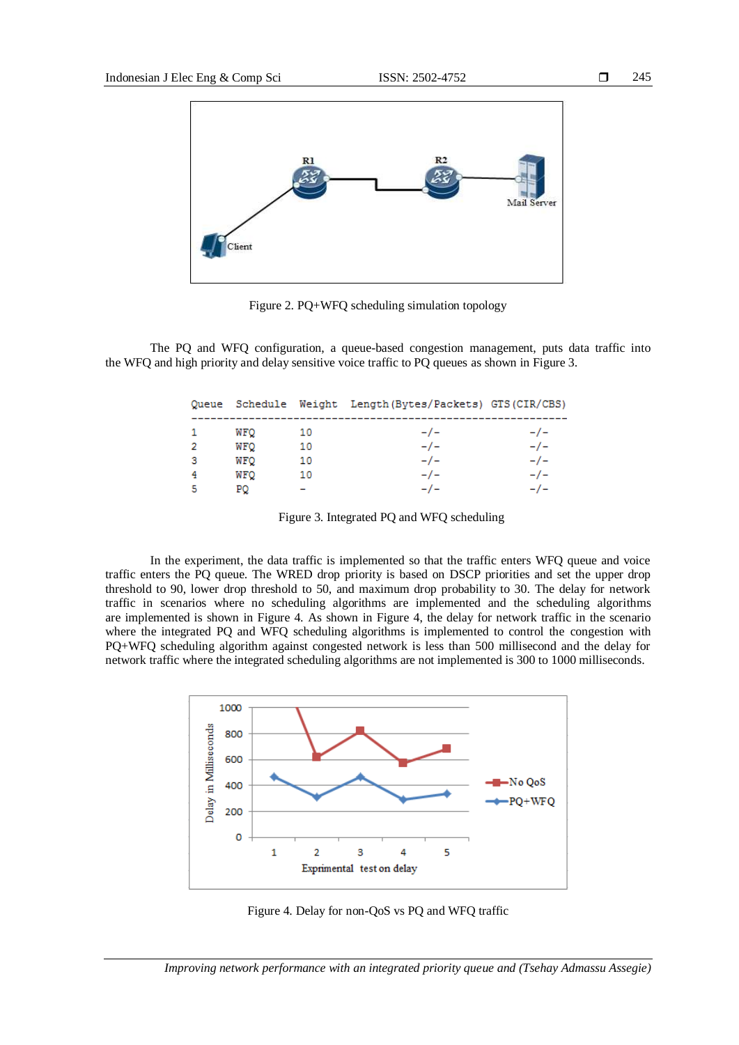

Figure 2. PQ+WFQ scheduling simulation topology

The PQ and WFQ configuration, a queue-based congestion management, puts data traffic into the WFQ and high priority and delay sensitive voice traffic to PQ queues as shown in Figure 3.

|    |            |    | Queue Schedule Weight Length(Bytes/Packets) GTS(CIR/CBS) |     |
|----|------------|----|----------------------------------------------------------|-----|
|    | WFO        | 10 | $-/-$                                                    | -7- |
|    | <b>WFQ</b> | 10 | -7-                                                      | -7- |
| -3 | <b>WFO</b> | 10 | $-/-$                                                    | -7- |
|    | WFO        | 10 | -7-                                                      | -7- |
|    | PO         |    | -7-                                                      | -7- |

Figure 3. Integrated PQ and WFQ scheduling

In the experiment, the data traffic is implemented so that the traffic enters WFQ queue and voice traffic enters the PQ queue. The WRED drop priority is based on DSCP priorities and set the upper drop threshold to 90, lower drop threshold to 50, and maximum drop probability to 30. The delay for network traffic in scenarios where no scheduling algorithms are implemented and the scheduling algorithms are implemented is shown in Figure 4. As shown in Figure 4, the delay for network traffic in the scenario where the integrated PQ and WFQ scheduling algorithms is implemented to control the congestion with PQ+WFQ scheduling algorithm against congested network is less than 500 millisecond and the delay for network traffic where the integrated scheduling algorithms are not implemented is 300 to 1000 milliseconds.



Figure 4. Delay for non-QoS vs PQ and WFQ traffic

*Improving network performance with an integrated priority queue and (Tsehay Admassu Assegie)*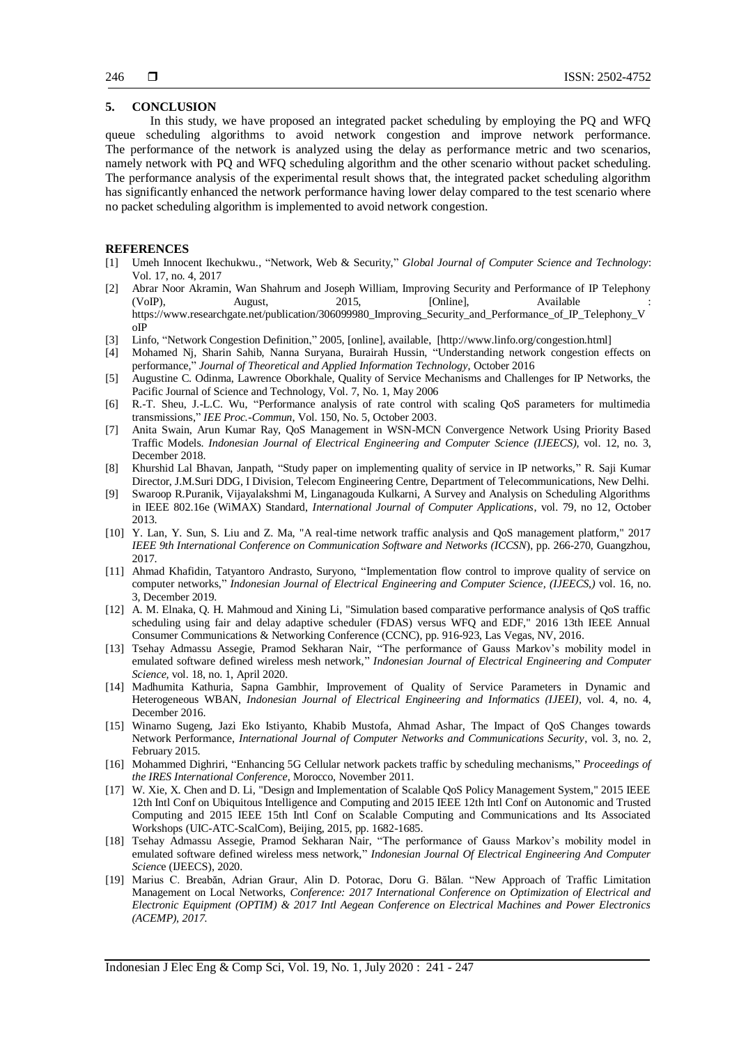### **5. CONCLUSION**

In this study, we have proposed an integrated packet scheduling by employing the PQ and WFQ queue scheduling algorithms to avoid network congestion and improve network performance. The performance of the network is analyzed using the delay as performance metric and two scenarios, namely network with PQ and WFQ scheduling algorithm and the other scenario without packet scheduling. The performance analysis of the experimental result shows that, the integrated packet scheduling algorithm has significantly enhanced the network performance having lower delay compared to the test scenario where no packet scheduling algorithm is implemented to avoid network congestion.

#### **REFERENCES**

- [1] Umeh Innocent Ikechukwu., "Network, Web & Security," *Global Journal of Computer Science and Technology*: Vol. 17, no. 4, 2017
- [2] Abrar Noor Akramin, Wan Shahrum and Joseph William, Improving Security and Performance of IP Telephony (VoIP), August, 2015, [Online], Available : [https://www.researchgate.net/publication/306099980\\_Improving\\_Security\\_and\\_Performance\\_of\\_IP\\_Telephony\\_V](https://www.researchgate.net/publication/306099980_Improving_Security_and_Performance_of_IP_Telephony_VoIP) [oIP](https://www.researchgate.net/publication/306099980_Improving_Security_and_Performance_of_IP_Telephony_VoIP)
- [3] Linfo, "Network Congestion Definition," 2005, [online], available, [http://www.linfo.org/congestion.html]
- [4] Mohamed Nj, Sharin Sahib, Nanna Suryana, Burairah Hussin, "Understanding network congestion effects on performance," *Journal of Theoretical and Applied Information Technology*, October 2016
- [5] Augustine C. Odinma, Lawrence Oborkhale, Quality of Service Mechanisms and Challenges for IP Networks, the Pacific Journal of Science and Technology, Vol. 7, No. 1, May 2006
- [6] R.-T. Sheu, J.-L.C. Wu, "Performance analysis of rate control with scaling QoS parameters for multimedia transmissions," *IEE Proc.-Commun*, Vol. 150, No. 5, October 2003.
- [7] Anita Swain, Arun Kumar Ray, QoS Management in WSN-MCN Convergence Network Using Priority Based Traffic Models. *Indonesian Journal of Electrical Engineering and Computer Science (IJEECS),* vol. 12, no. 3, December 2018.
- [8] Khurshid Lal Bhavan, Janpath, "Study paper on implementing quality of service in IP networks," R. Saji Kumar Director, J.M.Suri DDG, I Division, Telecom Engineering Centre, Department of Telecommunications, New Delhi.
- [9] Swaroop R.Puranik, Vijayalakshmi M, Linganagouda Kulkarni, A Survey and Analysis on Scheduling Algorithms in IEEE 802.16e (WiMAX) Standard, *International Journal of Computer Applications*, vol. 79, no 12, October 2013.
- [10] Y. Lan, Y. Sun, S. Liu and Z. Ma, "A real-time network traffic analysis and QoS management platform," 2017 *IEEE 9th International Conference on Communication Software and Networks (ICCSN*), pp. 266-270, Guangzhou, 2017.
- [11] Ahmad Khafidin, Tatyantoro Andrasto, Suryono, "Implementation flow control to improve quality of service on computer networks," *Indonesian Journal of Electrical Engineering and Computer Science, (IJEECS,)* vol. 16, no. 3, December 2019.
- [12] A. M. Elnaka, Q. H. Mahmoud and Xining Li, "Simulation based comparative performance analysis of QoS traffic scheduling using fair and delay adaptive scheduler (FDAS) versus WFQ and EDF," 2016 13th IEEE Annual Consumer Communications & Networking Conference (CCNC), pp. 916-923, Las Vegas, NV, 2016.
- [13] Tsehay Admassu Assegie, Pramod Sekharan Nair, "The performance of Gauss Markov's mobility model in emulated software defined wireless mesh network," *Indonesian Journal of Electrical Engineering and Computer Science,* vol. 18, no. 1, April 2020.
- [14] Madhumita Kathuria, Sapna Gambhir, Improvement of Quality of Service Parameters in Dynamic and Heterogeneous WBAN, *Indonesian Journal of Electrical Engineering and Informatics (IJEEI),* vol. 4, no. 4, December 2016.
- [15] Winarno Sugeng, Jazi Eko Istiyanto, Khabib Mustofa, Ahmad Ashar, The Impact of QoS Changes towards Network Performance, *International Journal of Computer Networks and Communications Security*, vol. 3, no. 2, February 2015.
- [16] Mohammed Dighriri, "Enhancing 5G Cellular network packets traffic by scheduling mechanisms," *Proceedings of the IRES International Conference*, Morocco, November 2011.
- [17] W. Xie, X. Chen and D. Li, "Design and Implementation of Scalable QoS Policy Management System," 2015 IEEE 12th Intl Conf on Ubiquitous Intelligence and Computing and 2015 IEEE 12th Intl Conf on Autonomic and Trusted Computing and 2015 IEEE 15th Intl Conf on Scalable Computing and Communications and Its Associated Workshops (UIC-ATC-ScalCom), Beijing, 2015, pp. 1682-1685.
- [18] Tsehay Admassu Assegie, Pramod Sekharan Nair, "The performance of Gauss Markov's mobility model in emulated software defined wireless mess network," *Indonesian Journal Of Electrical Engineering And Computer Scienc*e (IJEECS), 2020.
- [19] Marius C. Breabăn, Adrian Graur, Alin D. Potorac, Doru G. Bălan. "New Approach of Traffic Limitation Management on Local Networks, *Conference: 2017 International Conference on Optimization of Electrical and Electronic Equipment (OPTIM) & 2017 Intl Aegean Conference on Electrical Machines and Power Electronics (ACEMP), 2017.*